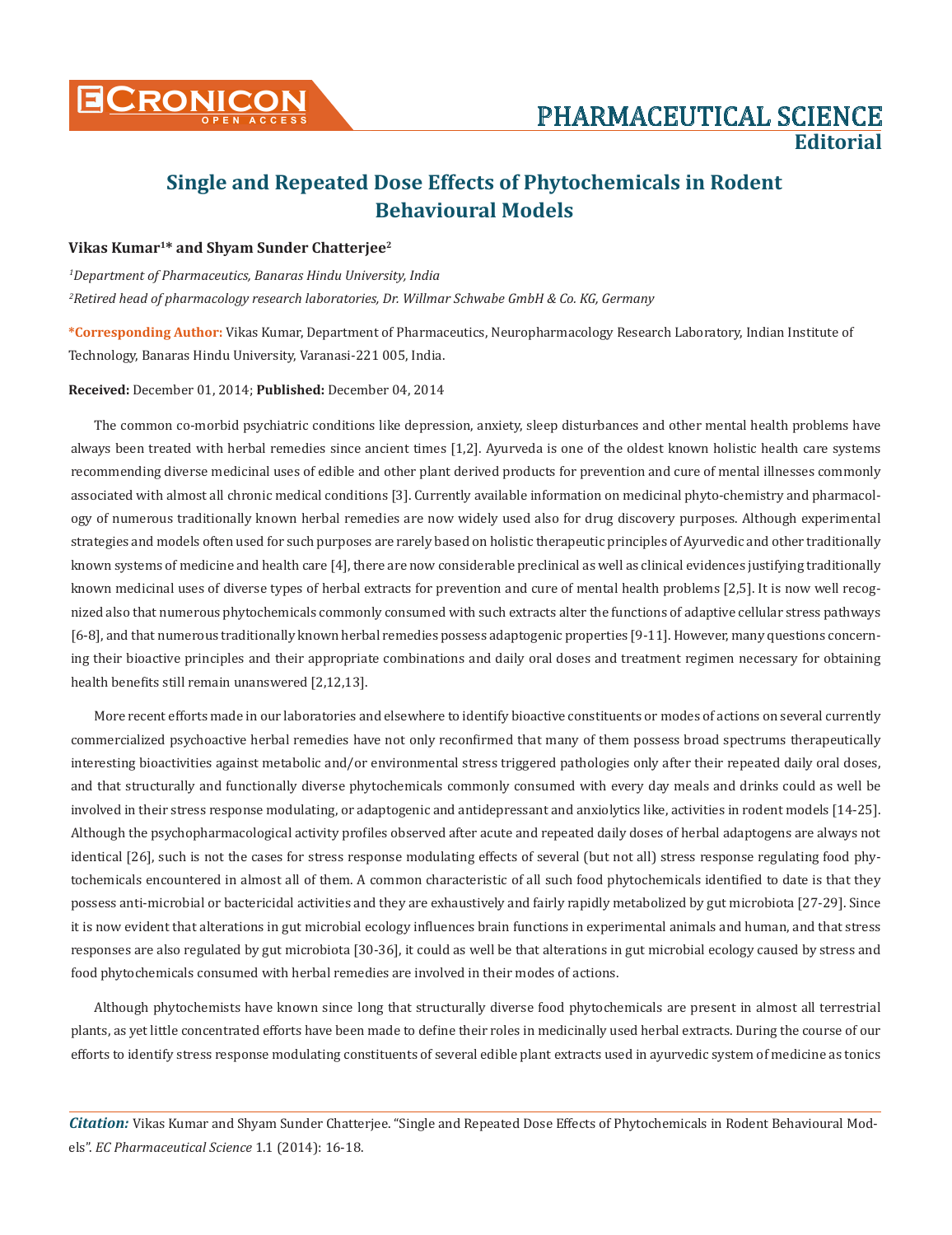

# **Single and Repeated Dose Effects of Phytochemicals in Rodent Behavioural Models**

#### **Vikas Kumar1\* and Shyam Sunder Chatterjee2**

*1 Department of Pharmaceutics, Banaras Hindu University, India 2 Retired head of pharmacology research laboratories, Dr. Willmar Schwabe GmbH & Co. KG, Germany* 

**\*Corresponding Author:** Vikas Kumar, Department of Pharmaceutics, Neuropharmacology Research Laboratory, Indian Institute of Technology, Banaras Hindu University, Varanasi-221 005, India.

#### **Received:** December 01, 2014; **Published:** December 04, 2014

The common co-morbid psychiatric conditions like depression, anxiety, sleep disturbances and other mental health problems have always been treated with herbal remedies since ancient times [1,2]. Ayurveda is one of the oldest known holistic health care systems recommending diverse medicinal uses of edible and other plant derived products for prevention and cure of mental illnesses commonly associated with almost all chronic medical conditions [3]. Currently available information on medicinal phyto-chemistry and pharmacology of numerous traditionally known herbal remedies are now widely used also for drug discovery purposes. Although experimental strategies and models often used for such purposes are rarely based on holistic therapeutic principles of Ayurvedic and other traditionally known systems of medicine and health care [4], there are now considerable preclinical as well as clinical evidences justifying traditionally known medicinal uses of diverse types of herbal extracts for prevention and cure of mental health problems [2,5]. It is now well recognized also that numerous phytochemicals commonly consumed with such extracts alter the functions of adaptive cellular stress pathways [6-8], and that numerous traditionally known herbal remedies possess adaptogenic properties [9-11]. However, many questions concerning their bioactive principles and their appropriate combinations and daily oral doses and treatment regimen necessary for obtaining health benefits still remain unanswered [2,12,13].

More recent efforts made in our laboratories and elsewhere to identify bioactive constituents or modes of actions on several currently commercialized psychoactive herbal remedies have not only reconfirmed that many of them possess broad spectrums therapeutically interesting bioactivities against metabolic and/or environmental stress triggered pathologies only after their repeated daily oral doses, and that structurally and functionally diverse phytochemicals commonly consumed with every day meals and drinks could as well be involved in their stress response modulating, or adaptogenic and antidepressant and anxiolytics like, activities in rodent models [14-25]. Although the psychopharmacological activity profiles observed after acute and repeated daily doses of herbal adaptogens are always not identical [26], such is not the cases for stress response modulating effects of several (but not all) stress response regulating food phytochemicals encountered in almost all of them. A common characteristic of all such food phytochemicals identified to date is that they possess anti-microbial or bactericidal activities and they are exhaustively and fairly rapidly metabolized by gut microbiota [27-29]. Since it is now evident that alterations in gut microbial ecology influences brain functions in experimental animals and human, and that stress responses are also regulated by gut microbiota [30-36], it could as well be that alterations in gut microbial ecology caused by stress and food phytochemicals consumed with herbal remedies are involved in their modes of actions.

Although phytochemists have known since long that structurally diverse food phytochemicals are present in almost all terrestrial plants, as yet little concentrated efforts have been made to define their roles in medicinally used herbal extracts. During the course of our efforts to identify stress response modulating constituents of several edible plant extracts used in ayurvedic system of medicine as tonics

*Citation:* Vikas Kumar and Shyam Sunder Chatterjee. "Single and Repeated Dose Effects of Phytochemicals in Rodent Behavioural Models". *EC Pharmaceutical Science* 1.1 (2014): 16-18.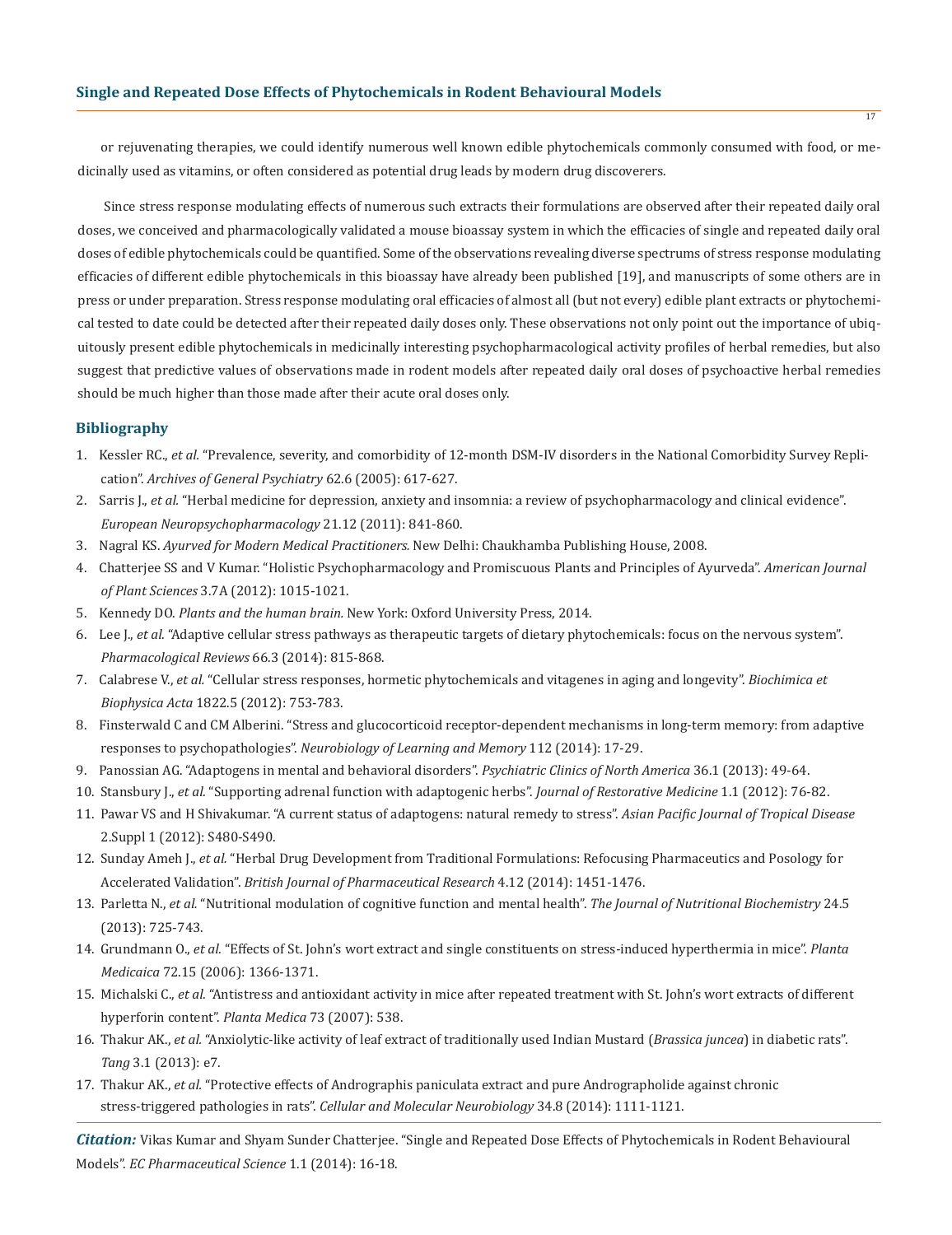or rejuvenating therapies, we could identify numerous well known edible phytochemicals commonly consumed with food, or medicinally used as vitamins, or often considered as potential drug leads by modern drug discoverers.

Since stress response modulating effects of numerous such extracts their formulations are observed after their repeated daily oral doses, we conceived and pharmacologically validated a mouse bioassay system in which the efficacies of single and repeated daily oral doses of edible phytochemicals could be quantified. Some of the observations revealing diverse spectrums of stress response modulating efficacies of different edible phytochemicals in this bioassay have already been published [19], and manuscripts of some others are in press or under preparation. Stress response modulating oral efficacies of almost all (but not every) edible plant extracts or phytochemical tested to date could be detected after their repeated daily doses only. These observations not only point out the importance of ubiquitously present edible phytochemicals in medicinally interesting psychopharmacological activity profiles of herbal remedies, but also suggest that predictive values of observations made in rodent models after repeated daily oral doses of psychoactive herbal remedies should be much higher than those made after their acute oral doses only.

#### **Bibliography**

- 1. Kessler RC., *et al.* "Prevalence, severity, and comorbidity of 12-month DSM-IV disorders in the National Comorbidity Survey Repli cation". *Archives of General Psychiatry* 62.6 (2005): 617-627.
- 2. Sarris J., *et al.* "Herbal medicine for depression, anxiety and insomnia: a review of psychopharmacology and clinical evidence". *European Neuropsychopharmacology* 21.12 (2011): 841-860.
- 3. Nagral KS. *Ayurved for Modern Medical Practitioners.* New Delhi: Chaukhamba Publishing House, 2008.
- 4. Chatterjee SS and V Kumar. "Holistic Psychopharmacology and Promiscuous Plants and Principles of Ayurveda". *American Journal of Plant Sciences* 3.7A (2012): 1015-1021.
- 5. Kennedy DO. *Plants and the human brain.* New York: Oxford University Press, 2014.
- 6. Lee J., *et al.* "Adaptive cellular stress pathways as therapeutic targets of dietary phytochemicals: focus on the nervous system". *Pharmacological Reviews* 66.3 (2014): 815-868.
- 7. Calabrese V., *et al.* "Cellular stress responses, hormetic phytochemicals and vitagenes in aging and longevity". *Biochimica et Biophysica Acta* 1822.5 (2012): 753-783.
- 8. Finsterwald C and CM Alberini. "Stress and glucocorticoid receptor-dependent mechanisms in long-term memory: from adaptive responses to psychopathologies". *Neurobiology of Learning and Memory* 112 (2014): 17-29.
- 9. Panossian AG. "Adaptogens in mental and behavioral disorders". *Psychiatric Clinics of North America* 36.1 (2013): 49-64.
- 10. Stansbury J., *et al.* "Supporting adrenal function with adaptogenic herbs". *Journal of Restorative Medicine* 1.1 (2012): 76-82.
- 11. Pawar VS and H Shivakumar. "A current status of adaptogens: natural remedy to stress". *Asian Pacific Journal of Tropical Disease* 2.Suppl 1 (2012): S480-S490.
- 12. Sunday Ameh J., *et al.* "Herbal Drug Development from Traditional Formulations: Refocusing Pharmaceutics and Posology for Accelerated Validation". *British Journal of Pharmaceutical Research* 4.12 (2014): 1451-1476.
- 13. Parletta N., *et al.* "Nutritional modulation of cognitive function and mental health". *The Journal of Nutritional Biochemistry* 24.5 (2013): 725-743.
- 14. Grundmann O., *et al.* "Effects of St. John's wort extract and single constituents on stress-induced hyperthermia in mice". *Planta Medicaica* 72.15 (2006): 1366-1371.
- 15. Michalski C., *et al.* "Antistress and antioxidant activity in mice after repeated treatment with St. John's wort extracts of different hyperforin content". *Planta Medica* 73 (2007): 538.
- 16. Thakur AK., *et al.* "Anxiolytic-like activity of leaf extract of traditionally used Indian Mustard (*Brassica juncea*) in diabetic rats". *Tang* 3.1 (2013): e7.
- 17. Thakur AK., *et al.* "Protective effects of Andrographis paniculata extract and pure Andrographolide against chronic stress-triggered pathologies in rats". *Cellular and Molecular Neurobiology* 34.8 (2014): 1111-1121.

*Citation:* Vikas Kumar and Shyam Sunder Chatterjee. "Single and Repeated Dose Effects of Phytochemicals in Rodent Behavioural Models". *EC Pharmaceutical Science* 1.1 (2014): 16-18.

17